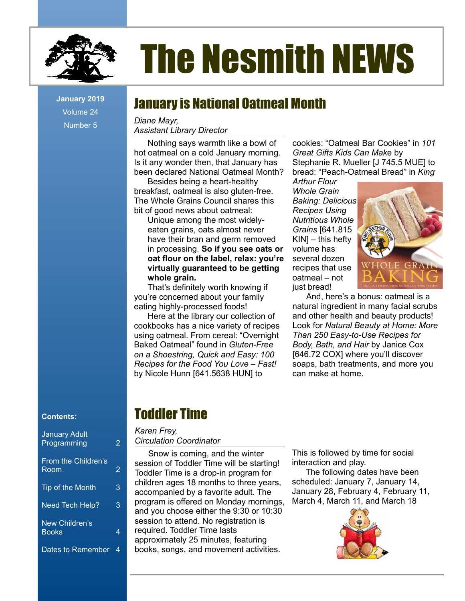

# The Nesmith NEWS

Volume 24 Number 5

# January is National Oatmeal Month **January 2019**

*Diane Mayr, Assistant Library Director*

Nothing says warmth like a bowl of hot oatmeal on a cold January morning. Is it any wonder then, that January has been declared National Oatmeal Month?

Besides being a heart-healthy breakfast, oatmeal is also gluten-free. The Whole Grains Council shares this bit of good news about oatmeal:

Unique among the most widelyeaten grains, oats almost never have their bran and germ removed in processing. **So if you see oats or oat flour on the label, relax: you're virtually guaranteed to be getting whole grain.**

That's definitely worth knowing if you're concerned about your family eating highly-processed foods!

Here at the library our collection of cookbooks has a nice variety of recipes using oatmeal. From cereal: "Overnight Baked Oatmeal" found in *Gluten-Free on a Shoestring, Quick and Easy: 100 Recipes for the Food You Love – Fast!* by Nicole Hunn [641.5638 HUN] to

cookies: "Oatmeal Bar Cookies" in *101 Great Gifts Kids Can Mak*e by Stephanie R. Mueller [J 745.5 MUE] to bread: "Peach-Oatmeal Bread" in *King* 

*Arthur Flour Whole Grain Baking: Delicious Recipes Using Nutritious Whole Grains* [641.815  $KIN -$  this hefty volume has several dozen recipes that use oatmeal – not just bread!



And, here's a bonus: oatmeal is a natural ingredient in many facial scrubs and other health and beauty products! Look for *Natural Beauty at Home: More Than 250 Easy-to-Use Recipes for Body, Bath, and Hair* by Janice Cox [646.72 COX] where you'll discover soaps, bath treatments, and more you can make at home.

#### **Contents:**

| <b>January Adult</b><br>Programming | 2 |
|-------------------------------------|---|
| From the Children's<br>Room         | 2 |
| Tip of the Month                    | 3 |
| Need Tech Help?                     | 3 |
| New Children's<br><b>Books</b>      | 4 |
| Dates to Remember                   | 4 |

## Toddler Time

#### *Karen Frey, Circulation Coordinator*

Snow is coming, and the winter session of Toddler Time will be starting! Toddler Time is a drop-in program for children ages 18 months to three years, accompanied by a favorite adult. The program is offered on Monday mornings, and you choose either the 9:30 or 10:30 session to attend. No registration is required. Toddler Time lasts approximately 25 minutes, featuring books, songs, and movement activities.

This is followed by time for social interaction and play.

The following dates have been scheduled: January 7, January 14, January 28, February 4, February 11, March 4, March 11, and March 18

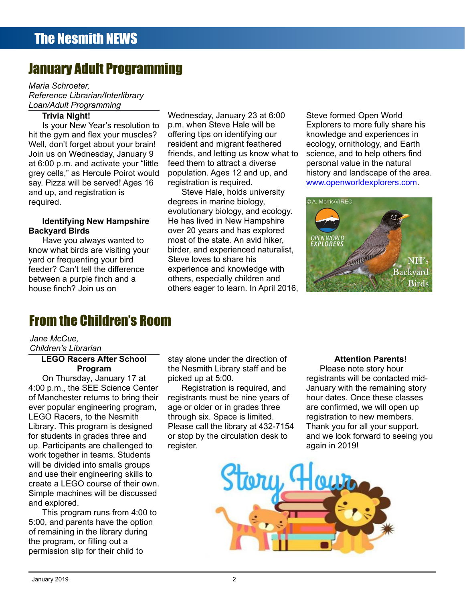## January Adult Programming

*Maria Schroeter, Reference Librarian/Interlibrary Loan/Adult Programming*

#### **Trivia Night!**

Is your New Year's resolution to hit the gym and flex your muscles? Well, don't forget about your brain! Join us on Wednesday, January 9 at 6:00 p.m. and activate your "little grey cells," as Hercule Poirot would say. Pizza will be served! Ages 16 and up, and registration is required.

#### **Identifying New Hampshire Backyard Birds**

Have you always wanted to know what birds are visiting your yard or frequenting your bird feeder? Can't tell the difference between a purple finch and a house finch? Join us on

Wednesday, January 23 at 6:00 p.m. when Steve Hale will be offering tips on identifying our resident and migrant feathered friends, and letting us know what to feed them to attract a diverse population. Ages 12 and up, and registration is required.

Steve Hale, holds university degrees in marine biology, evolutionary biology, and ecology. He has lived in New Hampshire over 20 years and has explored most of the state. An avid hiker, birder, and experienced naturalist, Steve loves to share his experience and knowledge with others, especially children and others eager to learn. In April 2016,

Steve formed Open World Explorers to more fully share his knowledge and experiences in ecology, ornithology, and Earth science, and to help others find personal value in the natural history and landscape of the area. [www.openworldexplorers.com](http://www.openworldexplorers.com/).



## From the Children's Room

#### *Jane McCue,*

*Children's Librarian*

#### **LEGO Racers After School Program**

On Thursday, January 17 at 4:00 p.m., the SEE Science Center of Manchester returns to bring their ever popular engineering program, LEGO Racers, to the Nesmith Library. This program is designed for students in grades three and up. Participants are challenged to work together in teams. Students will be divided into smalls groups and use their engineering skills to create a LEGO course of their own. Simple machines will be discussed and explored.

This program runs from 4:00 to 5:00, and parents have the option of remaining in the library during the program, or filling out a permission slip for their child to

stay alone under the direction of the Nesmith Library staff and be picked up at 5:00.

Registration is required, and registrants must be nine years of age or older or in grades three through six. Space is limited. Please call the library at 432-7154 or stop by the circulation desk to register.

#### **Attention Parents!**

Please note story hour registrants will be contacted mid-January with the remaining story hour dates. Once these classes are confirmed, we will open up registration to new members. Thank you for all your support, and we look forward to seeing you again in 2019!

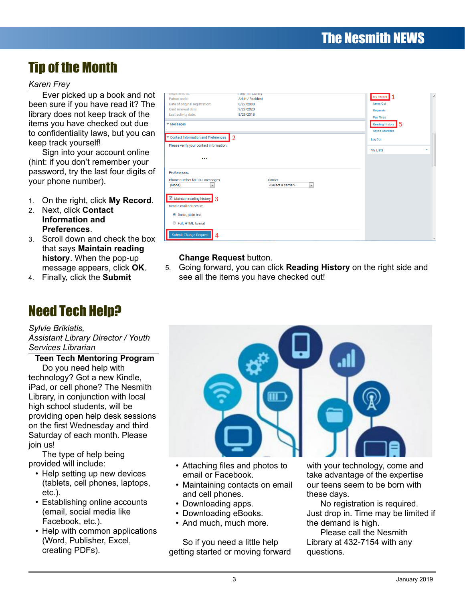## Tip of the Month

#### *Karen Frey*

Ever picked up a book and not been sure if you have read it? The library does not keep track of the items you have checked out due to confidentiality laws, but you can keep track yourself!

Sign into your account online (hint: if you don't remember your password, try the last four digits of your phone number).

- 1. On the right, click **My Record**.
- 2. Next, click **Contact Information and Preferences**.
- 3. Scroll down and check the box that says **Maintain reading history**. When the pop-up message appears, click **OK**.
- 4. Finally, click the **Submit**

## Need Tech Help?

#### *Sylvie Brikiatis,*

*Assistant Library Director / Youth Services Librarian*

**Teen Tech Mentoring Program**

Do you need help with technology? Got a new Kindle, iPad, or cell phone? The Nesmith Library, in conjunction with local high school students, will be providing open help desk sessions on the first Wednesday and third Saturday of each month. Please join us!

The type of help being provided will include:

- Help setting up new devices (tablets, cell phones, laptops, etc.).
- Establishing online accounts (email, social media like Facebook, etc.).
- Help with common applications (Word, Publisher, Excel, creating PDFs).

| πογιοισίου αι.<br>Patron code:<br>Date of original registration:<br>Card renewal date:<br>Last activity date:<br>$\Psi$ Messages | <b>INCOLLINE LIBRAry</b><br><b>Adult / Resident</b><br>8/27/2008<br>9/29/2020<br>8/25/2018 | $\overline{\phantom{a}}$<br><b>My Record</b><br><b>Items Out</b><br><b>Requests</b><br><b>Pay Fines</b><br>15<br><b>Reading History</b><br><b>Saved Searches</b> |
|----------------------------------------------------------------------------------------------------------------------------------|--------------------------------------------------------------------------------------------|------------------------------------------------------------------------------------------------------------------------------------------------------------------|
| Contact Information and Preferences<br>Please verify your contact information.<br>$\cdots$                                       | 2                                                                                          | Log Out<br><b>My Lists</b><br>٠                                                                                                                                  |
| <b>Preferences:</b><br>Phone number for TXT messages<br>(None)<br>$\overline{\phantom{a}}$<br>Maintain reading history 3         | Carrier<br>$\blacktriangledown$<br><select a="" carrier=""></select>                       |                                                                                                                                                                  |
| Send e-mail notices in:<br><sup>O</sup> Basic, plain text<br>Full, HTML format<br><b>Submit Change Request</b><br>4              |                                                                                            |                                                                                                                                                                  |

#### **Change Request** button.

5. Going forward, you can click **Reading History** on the right side and see all the items you have checked out!



- Attaching files and photos to email or Facebook.
- Maintaining contacts on email and cell phones.
- Downloading apps.
- Downloading eBooks.
- And much, much more.

So if you need a little help getting started or moving forward with your technology, come and take advantage of the expertise our teens seem to be born with these days.

No registration is required. Just drop in. Time may be limited if the demand is high.

Please call the Nesmith Library at 432-7154 with any questions.